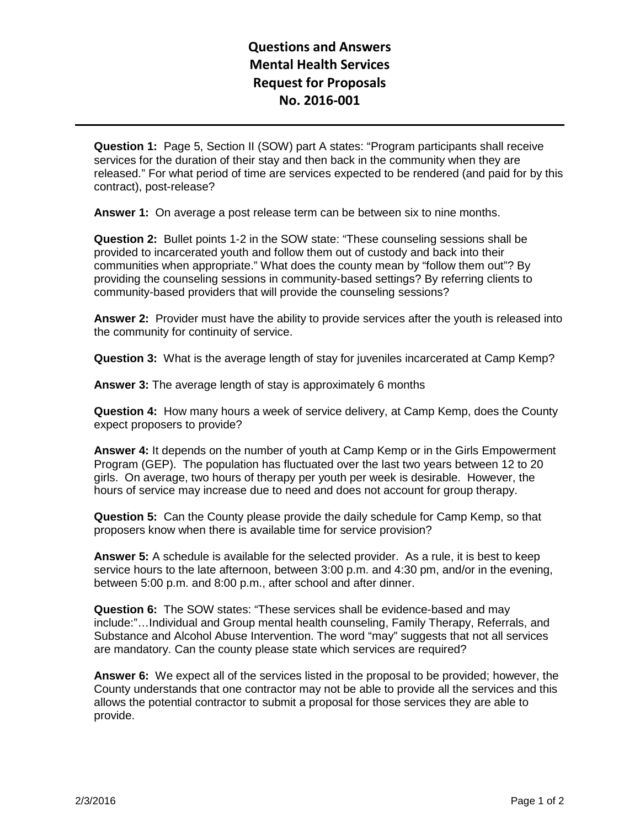## **Questions and Answers Mental Health Services Request for Proposals No. 2016-001**

**Question 1:** Page 5, Section II (SOW) part A states: "Program participants shall receive services for the duration of their stay and then back in the community when they are released." For what period of time are services expected to be rendered (and paid for by this contract), post-release?

**Answer 1:** On average a post release term can be between six to nine months.

**Question 2:** Bullet points 1-2 in the SOW state: "These counseling sessions shall be provided to incarcerated youth and follow them out of custody and back into their communities when appropriate." What does the county mean by "follow them out"? By providing the counseling sessions in community-based settings? By referring clients to community-based providers that will provide the counseling sessions?

**Answer 2:** Provider must have the ability to provide services after the youth is released into the community for continuity of service.

**Question 3:** What is the average length of stay for juveniles incarcerated at Camp Kemp?

**Answer 3:** The average length of stay is approximately 6 months

**Question 4:** How many hours a week of service delivery, at Camp Kemp, does the County expect proposers to provide?

**Answer 4:** It depends on the number of youth at Camp Kemp or in the Girls Empowerment Program (GEP). The population has fluctuated over the last two years between 12 to 20 girls. On average, two hours of therapy per youth per week is desirable. However, the hours of service may increase due to need and does not account for group therapy.

**Question 5:** Can the County please provide the daily schedule for Camp Kemp, so that proposers know when there is available time for service provision?

**Answer 5:** A schedule is available for the selected provider. As a rule, it is best to keep service hours to the late afternoon, between 3:00 p.m. and 4:30 pm, and/or in the evening, between 5:00 p.m. and 8:00 p.m., after school and after dinner.

**Question 6:** The SOW states: "These services shall be evidence-based and may include:"…Individual and Group mental health counseling, Family Therapy, Referrals, and Substance and Alcohol Abuse Intervention. The word "may" suggests that not all services are mandatory. Can the county please state which services are required?

**Answer 6:** We expect all of the services listed in the proposal to be provided; however, the County understands that one contractor may not be able to provide all the services and this allows the potential contractor to submit a proposal for those services they are able to provide.